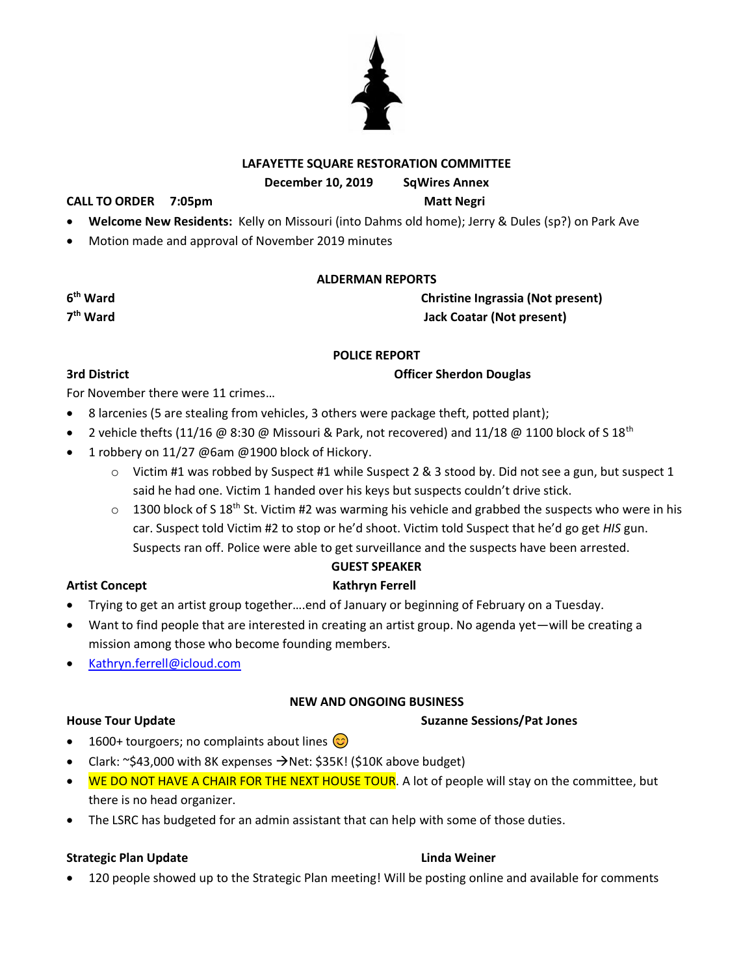### **LAFAYETTE SQUARE RESTORATION COMMITTEE**

**December 10, 2019 SqWires Annex**

**CALL TO ORDER 7:05pm Matt Negri**

- **Welcome New Residents:** Kelly on Missouri (into Dahms old home); Jerry & Dules (sp?) on Park Ave
- Motion made and approval of November 2019 minutes

### **ALDERMAN REPORTS**

**Christine Ingrassia (Not present) the Hack Coatar** (Not present)

### **POLICE REPORT**

**3rd District Community Community Community Community Community Community Community Community Community Community** 

For November there were 11 crimes…

- 8 larcenies (5 are stealing from vehicles, 3 others were package theft, potted plant);
- 2 vehicle thefts (11/16 @ 8:30 @ Missouri & Park, not recovered) and 11/18 @ 1100 block of S 18<sup>th</sup>
- 1 robbery on 11/27 @6am @1900 block of Hickory.
	- $\circ$  Victim #1 was robbed by Suspect #1 while Suspect 2 & 3 stood by. Did not see a gun, but suspect 1 said he had one. Victim 1 handed over his keys but suspects couldn't drive stick.
	- $\circ$  1300 block of S 18<sup>th</sup> St. Victim #2 was warming his vehicle and grabbed the suspects who were in his car. Suspect told Victim #2 to stop or he'd shoot. Victim told Suspect that he'd go get *HIS* gun. Suspects ran off. Police were able to get surveillance and the suspects have been arrested.

### **GUEST SPEAKER**

### **Artist Concept Kathryn Ferrell**

- Trying to get an artist group together….end of January or beginning of February on a Tuesday.
- Want to find people that are interested in creating an artist group. No agenda yet—will be creating a mission among those who become founding members.
- [Kathryn.ferrell@icloud.com](mailto:Kathryn.ferrell@icloud.com)

### **NEW AND ONGOING BUSINESS**

**House Tour Update Suzanne Sessions/Pat Jones**

- 1600+ tourgoers; no complaints about lines  $\circled{c}$
- Clark: ~\$43,000 with 8K expenses  $\rightarrow$  Net: \$35K! (\$10K above budget)
- WE DO NOT HAVE A CHAIR FOR THE NEXT HOUSE TOUR. A lot of people will stay on the committee, but there is no head organizer.
- The LSRC has budgeted for an admin assistant that can help with some of those duties.

### **Strategic Plan Update Linda Weiner**

• 120 people showed up to the Strategic Plan meeting! Will be posting online and available for comments



**6**

7<sup>th</sup> Ward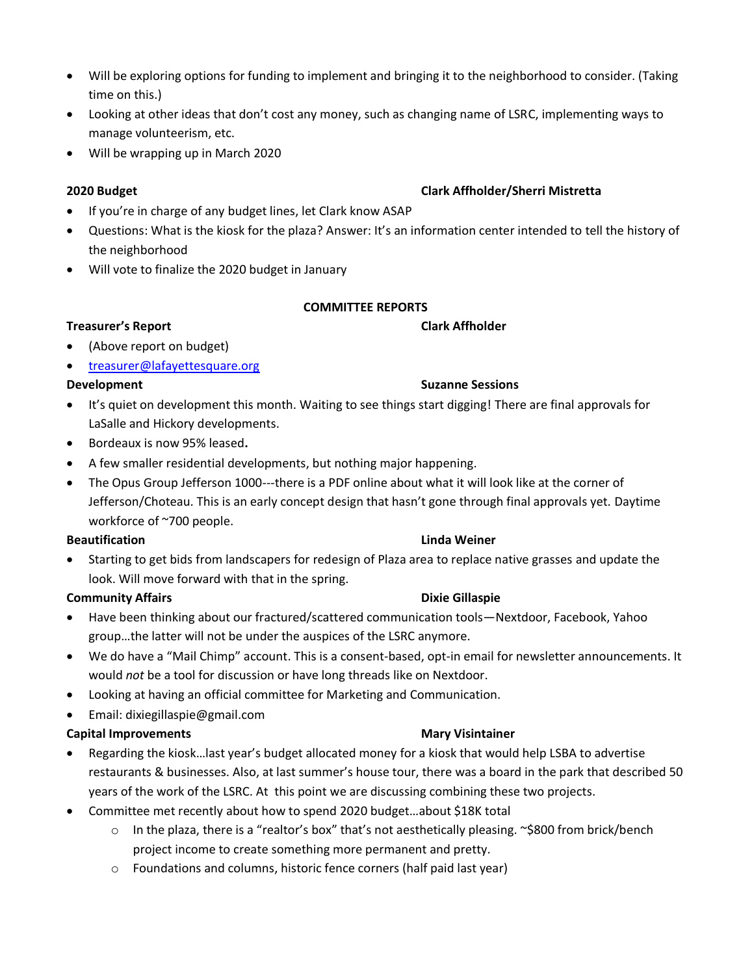- Will be exploring options for funding to implement and bringing it to the neighborhood to consider. (Taking time on this.)
- Looking at other ideas that don't cost any money, such as changing name of LSRC, implementing ways to manage volunteerism, etc.
- Will be wrapping up in March 2020

# **2020 Budget Clark Affholder/Sherri Mistretta**

- If you're in charge of any budget lines, let Clark know ASAP
- Questions: What is the kiosk for the plaza? Answer: It's an information center intended to tell the history of the neighborhood
- Will vote to finalize the 2020 budget in January

# **COMMITTEE REPORTS**

# **Treasurer's Report Clark Affholder**

- (Above report on budget)
- [treasurer@lafayettesquare.org](mailto:treasurer@lafayettesquare.org)

# **Development Suzanne Sessions**

- It's quiet on development this month. Waiting to see things start digging! There are final approvals for LaSalle and Hickory developments.
- Bordeaux is now 95% leased**.**
- A few smaller residential developments, but nothing major happening.
- The Opus Group Jefferson 1000---there is a PDF online about what it will look like at the corner of Jefferson/Choteau. This is an early concept design that hasn't gone through final approvals yet. Daytime workforce of ~700 people.

## **Beautification Linda Weiner**

• Starting to get bids from landscapers for redesign of Plaza area to replace native grasses and update the look. Will move forward with that in the spring.

# **Community Affairs Dixie Gillaspie Dixie Gillaspie**

- Have been thinking about our fractured/scattered communication tools—Nextdoor, Facebook, Yahoo group…the latter will not be under the auspices of the LSRC anymore.
- We do have a "Mail Chimp" account. This is a consent-based, opt-in email for newsletter announcements. It would *not* be a tool for discussion or have long threads like on Nextdoor.
- Looking at having an official committee for Marketing and Communication.
- Email: dixiegillaspie@gmail.com

# **Capital Improvements Mary Visintainer**

- Regarding the kiosk…last year's budget allocated money for a kiosk that would help LSBA to advertise restaurants & businesses. Also, at last summer's house tour, there was a board in the park that described 50 years of the work of the LSRC. At this point we are discussing combining these two projects.
- Committee met recently about how to spend 2020 budget…about \$18K total
	- o In the plaza, there is a "realtor's box" that's not aesthetically pleasing. ~\$800 from brick/bench project income to create something more permanent and pretty.
	- o Foundations and columns, historic fence corners (half paid last year)